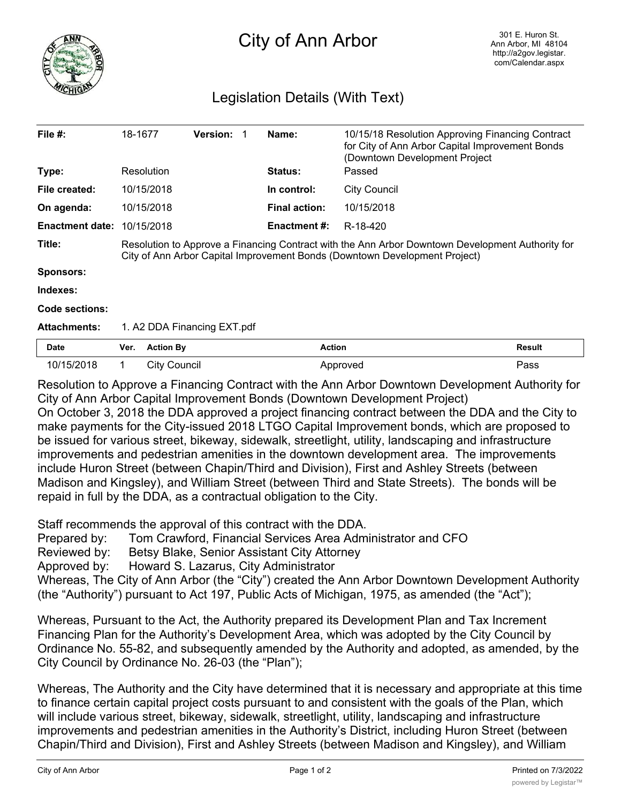

## City of Ann Arbor

## Legislation Details (With Text)

| File $#$ :             | 18-1677                                                                                                                                                                        |                     | <b>Version:</b> |  | Name:                | 10/15/18 Resolution Approving Financing Contract<br>for City of Ann Arbor Capital Improvement Bonds<br>(Downtown Development Project |               |
|------------------------|--------------------------------------------------------------------------------------------------------------------------------------------------------------------------------|---------------------|-----------------|--|----------------------|--------------------------------------------------------------------------------------------------------------------------------------|---------------|
| Type:                  |                                                                                                                                                                                | Resolution          |                 |  | <b>Status:</b>       | Passed                                                                                                                               |               |
| File created:          |                                                                                                                                                                                | 10/15/2018          |                 |  | In control:          | <b>City Council</b>                                                                                                                  |               |
| On agenda:             |                                                                                                                                                                                | 10/15/2018          |                 |  | <b>Final action:</b> | 10/15/2018                                                                                                                           |               |
| <b>Enactment date:</b> |                                                                                                                                                                                | 10/15/2018          |                 |  | Enactment #:         | R-18-420                                                                                                                             |               |
| Title:                 | Resolution to Approve a Financing Contract with the Ann Arbor Downtown Development Authority for<br>City of Ann Arbor Capital Improvement Bonds (Downtown Development Project) |                     |                 |  |                      |                                                                                                                                      |               |
| Sponsors:              |                                                                                                                                                                                |                     |                 |  |                      |                                                                                                                                      |               |
| Indexes:               |                                                                                                                                                                                |                     |                 |  |                      |                                                                                                                                      |               |
| Code sections:         |                                                                                                                                                                                |                     |                 |  |                      |                                                                                                                                      |               |
| <b>Attachments:</b>    | 1. A2 DDA Financing EXT.pdf                                                                                                                                                    |                     |                 |  |                      |                                                                                                                                      |               |
| <b>Date</b>            | Ver.                                                                                                                                                                           | <b>Action By</b>    |                 |  | <b>Action</b>        |                                                                                                                                      | <b>Result</b> |
| 10/15/2018             |                                                                                                                                                                                | <b>City Council</b> |                 |  |                      | Approved                                                                                                                             | Pass          |

Resolution to Approve a Financing Contract with the Ann Arbor Downtown Development Authority for City of Ann Arbor Capital Improvement Bonds (Downtown Development Project) On October 3, 2018 the DDA approved a project financing contract between the DDA and the City to make payments for the City-issued 2018 LTGO Capital Improvement bonds, which are proposed to be issued for various street, bikeway, sidewalk, streetlight, utility, landscaping and infrastructure improvements and pedestrian amenities in the downtown development area. The improvements include Huron Street (between Chapin/Third and Division), First and Ashley Streets (between Madison and Kingsley), and William Street (between Third and State Streets). The bonds will be repaid in full by the DDA, as a contractual obligation to the City.

Staff recommends the approval of this contract with the DDA.

Prepared by: Tom Crawford, Financial Services Area Administrator and CFO

Reviewed by: Betsy Blake, Senior Assistant City Attorney

Approved by: Howard S. Lazarus, City Administrator

Whereas, The City of Ann Arbor (the "City") created the Ann Arbor Downtown Development Authority (the "Authority") pursuant to Act 197, Public Acts of Michigan, 1975, as amended (the "Act");

Whereas, Pursuant to the Act, the Authority prepared its Development Plan and Tax Increment Financing Plan for the Authority's Development Area, which was adopted by the City Council by Ordinance No. 55-82, and subsequently amended by the Authority and adopted, as amended, by the City Council by Ordinance No. 26-03 (the "Plan");

Whereas, The Authority and the City have determined that it is necessary and appropriate at this time to finance certain capital project costs pursuant to and consistent with the goals of the Plan, which will include various street, bikeway, sidewalk, streetlight, utility, landscaping and infrastructure improvements and pedestrian amenities in the Authority's District, including Huron Street (between Chapin/Third and Division), First and Ashley Streets (between Madison and Kingsley), and William